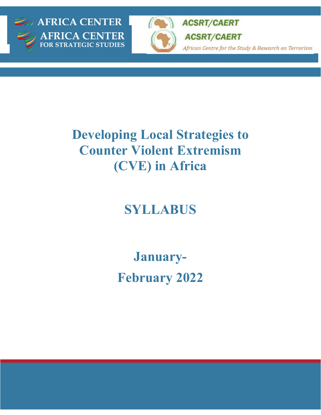



**ACSRT/CAERT** 

**ACSRT/CAERT** 

African Centre for the Study & Research on Terrorism

# **Developing Local Strategies to Counter Violent Extremism (CVE) in Africa**

# **SYLLABUS**

**January-February 2022**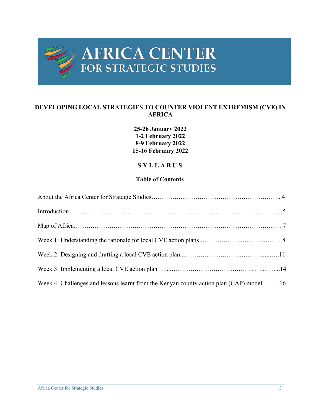

# AFRICA CENTER

#### **DEVELOPING LOCAL STRATEGIES TO COUNTER VIOLENT EXTREMISM (CVE) IN AFRICA**

#### **25-26 January 2022 1-2 February 2022 8-9 February 2022 15-16 February 2022**

#### **S Y L L A B U S**

#### **Table of Contents**

| Week 4: Challenges and lessons learnt from the Kenyan county action plan (CAP) model 16 |  |
|-----------------------------------------------------------------------------------------|--|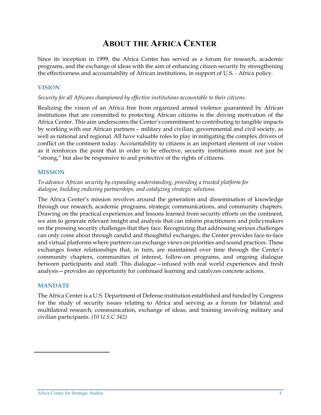# **ABOUT THE AFRICA CENTER**

Since its inception in 1999, the Africa Center has served as a forum for research, academic programs, and the exchange of ideas with the aim of enhancing citizen security by strengthening the effectiveness and accountability of African institutions, in support of U.S. - Africa policy.

#### **VISION**

#### *Security for all Africans championed by effective institutions accountable to their citizens.*

Realizing the vision of an Africa free from organized armed violence guaranteed by African institutions that are committed to protecting African citizens is the driving motivation of the Africa Center. This aim underscores the Center's commitment to contributing to tangible impacts by working with our African partners – military and civilian, governmental and civil society, as well as national and regional. All have valuable roles to play in mitigating the complex drivers of conflict on the continent today. Accountability to citizens is an important element of our vision as it reinforces the point that in order to be effective, security institutions must not just be "strong," but also be responsive to and protective of the rights of citizens.

#### **MISSION**

#### *To advance African security by expanding understanding, providing a trusted platform for dialogue, building enduring partnerships, and catalyzing strategic solutions.*

The Africa Center's mission revolves around the generation and dissemination of knowledge through our research, academic programs, strategic communications, and community chapters. Drawing on the practical experiences and lessons learned from security efforts on the continent, we aim to generate relevant insight and analysis that can inform practitioners and policymakers on the pressing security challenges that they face. Recognizing that addressing serious challenges can only come about through candid and thoughtful exchanges, the Center provides face-to-face and virtual platforms where partners can exchange views on priorities and sound practices. These exchanges foster relationships that, in turn, are maintained over time through the Center's community chapters, communities of interest, follow-on programs, and ongoing dialogue between participants and staff. This dialogue—infused with real world experiences and fresh analysis—provides an opportunity for continued learning and catalyzes concrete actions.

#### **MANDATE**

The Africa Center is a U.S. Department of Defense institution established and funded by Congress for the study of security issues relating to Africa and serving as a forum for bilateral and multilateral research, communication, exchange of ideas, and training involving military and civilian participants. *(10 U.S.C 342)*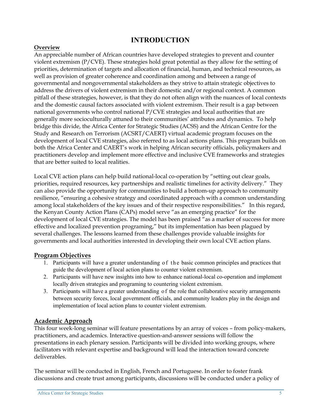# **INTRODUCTION**

#### **Overview**

An appreciable number of African countries have developed strategies to prevent and counter violent extremism (P/CVE). These strategies hold great potential as they allow for the setting of priorities, determination of targets and allocation of financial, human, and technical resources, as well as provision of greater coherence and coordination among and between a range of governmental and nongovernmental stakeholders as they strive to attain strategic objectives to address the drivers of violent extremism in their domestic and/or regional context. A common pitfall of these strategies, however, is that they do not often align with the nuances of local contexts and the domestic causal factors associated with violent extremism. Their result is a gap between national governments who control national P/CVE strategies and local authorities that are generally more socioculturally attuned to their communities' attributes and dynamics. To help bridge this divide, the Africa Center for Strategic Studies (ACSS) and the African Centre for the Study and Research on Terrorism (ACSRT/CAERT) virtual academic program focuses on the development of local CVE strategies, also referred to as local actions plans. This program builds on both the Africa Center and CAERT's work in helping African security officials, policymakers and practitioners develop and implement more effective and inclusive CVE frameworks and strategies that are better suited to local realities.

Local CVE action plans can help build national-local co-operation by "setting out clear goals, priorities, required resources, key partnerships and realistic timelines for activity delivery." They can also provide the opportunity for communities to build a bottom-up approach to community resilience, "ensuring a cohesive strategy and coordinated approach with a common understanding among local stakeholders of the key issues and of their respective responsibilities." In this regard, the Kenyan County Action Plans (CAPs) model serve "as an emerging practice" for the development of local CVE strategies. The model has been praised "as a marker of success for more effective and localized prevention programing," but its implementation has been plagued by several challenges. The lessons learned from these challenges provide valuable insights for governments and local authorities interested in developing their own local CVE action plans.

#### **Program Objectives**

- 1. Participants will have a greater understanding of the basic common principles and practices that guide the development of local action plans to counter violent extremism.
- 2. Participants will have new insights into how to enhance national-local co-operation and implement locally driven strategies and programing to countering violent extremism.
- 3. Participants will have a greater understanding o f the role that collaborative security arrangements between security forces, local government officials, and community leaders play in the design and implementation of local action plans to counter violent extremism.

#### **Academic Approach**

This four week-long seminar will feature presentations by an array of voices – from policy-makers, practitioners, and academics. Interactive question-and-answer sessions will follow the presentations in each plenary session. Participants will be divided into working groups, where facilitators with relevant expertise and background will lead the interaction toward concrete deliverables.

The seminar will be conducted in English, French and Portuguese. In order to foster frank discussions and create trust among participants, discussions will be conducted under a policy of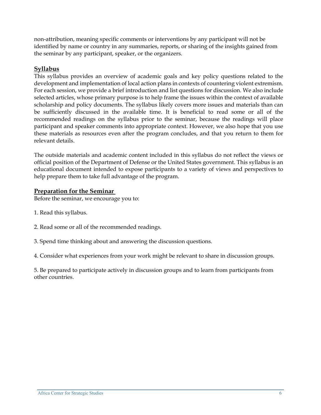non-attribution, meaning specific comments or interventions by any participant will not be identified by name or country in any summaries, reports, or sharing of the insights gained from the seminar by any participant, speaker, or the organizers.

#### **Syllabus**

This syllabus provides an overview of academic goals and key policy questions related to the development and implementation of local action plans in contexts of countering violent extremism. For each session, we provide a brief introduction and list questions for discussion. We also include selected articles, whose primary purpose is to help frame the issues within the context of available scholarship and policy documents. The syllabus likely covers more issues and materials than can be sufficiently discussed in the available time. It is beneficial to read some or all of the recommended readings on the syllabus prior to the seminar, because the readings will place participant and speaker comments into appropriate context. However, we also hope that you use these materials as resources even after the program concludes, and that you return to them for relevant details.

The outside materials and academic content included in this syllabus do not reflect the views or official position of the Department of Defense or the United States government. This syllabus is an educational document intended to expose participants to a variety of views and perspectives to help prepare them to take full advantage of the program.

#### **Preparation for the Seminar**

Before the seminar, we encourage you to:

- 1. Read this syllabus.
- 2. Read some or all of the recommended readings.
- 3. Spend time thinking about and answering the discussion questions.

4. Consider what experiences from your work might be relevant to share in discussion groups.

5. Be prepared to participate actively in discussion groups and to learn from participants from other countries.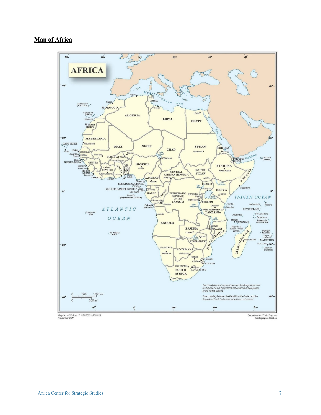#### **Map of Africa**

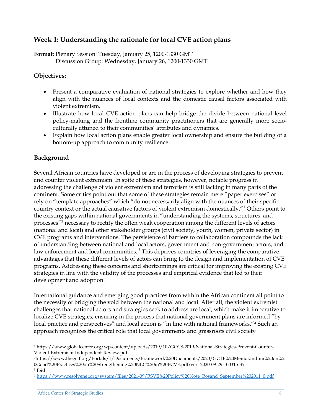## **Week 1: Understanding the rationale for local CVE action plans**

**Format:** Plenary Session: Tuesday, January 25, 1200-1330 GMT Discussion Group: Wednesday, January 26, 1200-1330 GMT

#### **Objectives:**

- Present a comparative evaluation of national strategies to explore whether and how they align with the nuances of local contexts and the domestic causal factors associated with violent extremism.
- Illustrate how local CVE action plans can help bridge the divide between national level policy-making and the frontline community practitioners that are generally more socioculturally attuned to their communities' attributes and dynamics.
- Explain how local action plans enable greater local ownership and ensure the building of a bottom-up approach to community resilience.

#### **Background**

Several African countries have developed or are in the process of developing strategies to prevent and counter violent extremism. In spite of these strategies, however, notable progress in addressing the challenge of violent extremism and terrorism is still lacking in many parts of the continent. Some critics point out that some of these strategies remain mere "paper exercises" or rely on "template approaches" which "do not necessarily align with the nuances of their specific country context or the actual causative factors of violent extremism domestically."<sup>[1](#page-7-0)</sup> Others point to the existing gaps within national governments in "understanding the systems, structures, and processes"[2](#page-7-1) necessary to rectify the often weak cooperation among the different levels of actors (national and local) and other stakeholder groups (civil society, youth, women, private sector) in CVE programs and interventions. The persistence of barriers to collaboration compounds the lack of understanding between national and local actors, government and non-government actors, and law enforcement and local communities.<sup>[3](#page-7-2)</sup> This deprives countries of leveraging the comparative advantages that these different levels of actors can bring to the design and implementation of CVE programs. Addressing these concerns and shortcomings are critical for improving the existing CVE strategies in line with the validity of the processes and empirical evidence that led to their development and adoption.

International guidance and emerging good practices from within the African continent all point to the necessity of bridging the void between the national and local. After all, the violent extremist challenges that national actors and strategies seek to address are local, which make it imperative to localize CVE strategies, ensuring in the process that national government plans are informed "by local practice and perspectives" and local action is "in line with national frameworks."<sup>[4](#page-7-3)</sup> Such an approach recognizes the critical role that local governments and grassroots civil society

<span id="page-7-0"></span><sup>1</sup> https://www.globalcenter.org/wp-content/uploads/2019/10/GCCS-2019-National-Strategies-Prevent-Counter-Violent-Extremism-Independent-Review.pdf

<span id="page-7-1"></span><sup>2</sup>https://www.thegctf.org/Portals/1/Documents/Framework%20Documents/2020/GCTF%20Memorandum%20on%2 0Good%20Practices%20on%20Strengthening%20NLC%20in%20PCVE.pdf?ver=2020-09-29-100315-35

<span id="page-7-2"></span><sup>3</sup> Ibid

<span id="page-7-3"></span><sup>4</sup> [https://www.resolvenet.org/system/files/2021-09/RSVE%20Policy%20Note\\_Rosand\\_September%202011\\_0.pdf](https://www.resolvenet.org/system/files/2021-09/RSVE%20Policy%20Note_Rosand_September%202011_0.pdf)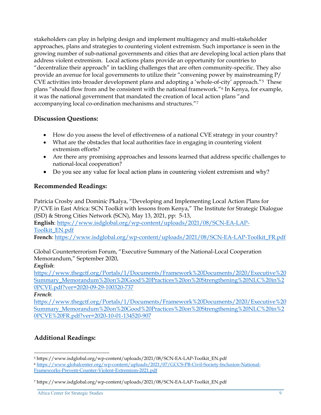stakeholders can play in helping design and implement multiagency and multi-stakeholder approaches, plans and strategies to countering violent extremism. Such importance is seen in the growing number of sub-national governments and cities that are developing local action plans that address violent extremism. Local actions plans provide an opportunity for countries to "decentralize their approach" in tackling challenges that are often community-specific. They also provide an avenue for local governments to utilize their "convening power by mainstreaming P/ CVE activities into broader development plans and adopting a 'whole-of-city' approach."[5](#page-8-0) These plans "should flow from and be consistent with the national framework."[6](#page-8-1) In Kenya, for example, it was the national government that mandated the creation of local action plans "and accompanying local co-ordination mechanisms and structures."[7](#page-8-2)

#### **Discussion Questions:**

- How do you assess the level of effectiveness of a national CVE strategy in your country?
- What are the obstacles that local authorities face in engaging in countering violent extremism efforts?
- Are there any promising approaches and lessons learned that address specific challenges to national-local cooperation?
- Do you see any value for local action plans in countering violent extremism and why?

#### **Recommended Readings:**

Patricia Crosby and Dominic Pkalya, "Developing and Implementing Local Action Plans for P/CVE in East Africa: SCN Toolkit with lessons from Kenya," The Institute for Strategic Dialogue (ISD) & Strong Cities Network (SCN), May 13, 2021, pp: 5-13,

**English**: [https://www.isdglobal.org/wp-content/uploads/2021/08/SCN-EA-LAP-](https://www.isdglobal.org/wp-content/uploads/2021/08/SCN-EA-LAP-Toolkit_EN.pdf)[Toolkit\\_EN.pdf](https://www.isdglobal.org/wp-content/uploads/2021/08/SCN-EA-LAP-Toolkit_EN.pdf)

**French**: [https://www.isdglobal.org/wp-content/uploads/2021/08/SCN-EA-LAP-Toolkit\\_FR.pdf](https://www.isdglobal.org/wp-content/uploads/2021/08/SCN-EA-LAP-Toolkit_FR.pdf)

Global Counterterrorism Forum, "Executive Summary of the National-Local Cooperation Memorandum," September 2020,

*English*:

[https://www.thegctf.org/Portals/1/Documents/Framework%20Documents/2020/Executive%20](https://www.thegctf.org/Portals/1/Documents/Framework%20Documents/2020/Executive%20Summary_Memorandum%20on%20Good%20Practices%20on%20Strengthening%20NLC%20in%20PCVE.pdf?ver=2020-09-29-100320-737) [Summary\\_Memorandum%20on%20Good%20Practices%20on%20Strengthening%20NLC%20in%2](https://www.thegctf.org/Portals/1/Documents/Framework%20Documents/2020/Executive%20Summary_Memorandum%20on%20Good%20Practices%20on%20Strengthening%20NLC%20in%20PCVE.pdf?ver=2020-09-29-100320-737) [0PCVE.pdf?ver=2020-09-29-100320-737](https://www.thegctf.org/Portals/1/Documents/Framework%20Documents/2020/Executive%20Summary_Memorandum%20on%20Good%20Practices%20on%20Strengthening%20NLC%20in%20PCVE.pdf?ver=2020-09-29-100320-737)

#### *French*:

[https://www.thegctf.org/Portals/1/Documents/Framework%20Documents/2020/Executive%20](https://www.thegctf.org/Portals/1/Documents/Framework%20Documents/2020/Executive%20Summary_Memorandum%20on%20Good%20Practices%20on%20Strengthening%20NLC%20in%20PCVE%20FR.pdf?ver=2020-10-01-134520-907) [Summary\\_Memorandum%20on%20Good%20Practices%20on%20Strengthening%20NLC%20in%2](https://www.thegctf.org/Portals/1/Documents/Framework%20Documents/2020/Executive%20Summary_Memorandum%20on%20Good%20Practices%20on%20Strengthening%20NLC%20in%20PCVE%20FR.pdf?ver=2020-10-01-134520-907) [0PCVE%20FR.pdf?ver=2020-10-01-134520-907](https://www.thegctf.org/Portals/1/Documents/Framework%20Documents/2020/Executive%20Summary_Memorandum%20on%20Good%20Practices%20on%20Strengthening%20NLC%20in%20PCVE%20FR.pdf?ver=2020-10-01-134520-907)

## **Additional Readings:**

<span id="page-8-0"></span><sup>5</sup> https://www.isdglobal.org/wp-content/uploads/2021/08/SCN-EA-LAP-Toolkit\_EN.pdf

<span id="page-8-1"></span><sup>6</sup> [https://www.globalcenter.org/wp-content/uploads/2021/07/GCCS-PB-Civil-Society-Inclusion-National-](https://www.globalcenter.org/wp-content/uploads/2021/07/GCCS-PB-Civil-Society-Inclusion-National-Frameworks-Prevent-Counter-Violent-Extremism-2021.pdf)[Frameworks-Prevent-Counter-Violent-Extremism-2021.pdf](https://www.globalcenter.org/wp-content/uploads/2021/07/GCCS-PB-Civil-Society-Inclusion-National-Frameworks-Prevent-Counter-Violent-Extremism-2021.pdf)

<span id="page-8-2"></span><sup>7</sup> https://www.isdglobal.org/wp-content/uploads/2021/08/SCN-EA-LAP-Toolkit\_EN.pdf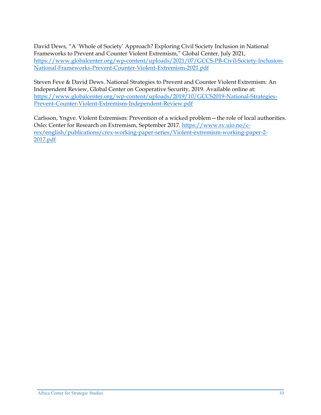David Dews, "A 'Whole of Society' Approach? Exploring Civil Society Inclusion in National Frameworks to Prevent and Counter Violent Extremism," Global Center, July 2021, [https://www.globalcenter.org/wp-content/uploads/2021/07/GCCS-PB-Civil-Society-Inclusion-](https://www.globalcenter.org/wp-content/uploads/2021/07/GCCS-PB-Civil-Society-Inclusion-National-Frameworks-Prevent-Counter-Violent-Extremism-2021.pdf)[National-Frameworks-Prevent-Counter-Violent-Extremism-2021.pdf](https://www.globalcenter.org/wp-content/uploads/2021/07/GCCS-PB-Civil-Society-Inclusion-National-Frameworks-Prevent-Counter-Violent-Extremism-2021.pdf)

Steven Feve & David Dews. National Strategies to Prevent and Counter Violent Extremism: An Independent Review, Global Center on Cooperative Security, 2019. Available online at: [https://www.globalcenter.org/wp-content/uploads/2019/10/GCCS2019-National-Strategies-](https://www.globalcenter.org/wp-content/uploads/2019/10/GCCS2019-National-Strategies-Prevent-Counter-Violent-Extremism-Independent-Review.pdf)[Prevent-Counter-Violent-Extremism-Independent-Review.pdf](https://www.globalcenter.org/wp-content/uploads/2019/10/GCCS2019-National-Strategies-Prevent-Counter-Violent-Extremism-Independent-Review.pdf)

Carlsson, Yngve. Violent Extremism: Prevention of a wicked problem—the role of local authorities. Oslo: Center for Research on Extremism, September 2017. [https://www.sv.uio.no/c](https://www.sv.uio.no/c-rex/english/publications/crex-working-paper-series/Violent-extremism-working-paper-2-2017.pdf)[rex/english/publications/crex-working-paper-series/Violent-extremism-working-paper-2-](https://www.sv.uio.no/c-rex/english/publications/crex-working-paper-series/Violent-extremism-working-paper-2-2017.pdf) [2017.pdf](https://www.sv.uio.no/c-rex/english/publications/crex-working-paper-series/Violent-extremism-working-paper-2-2017.pdf)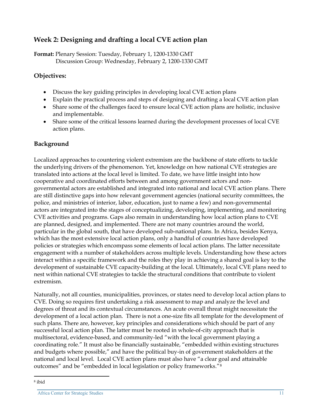# **Week 2: Designing and drafting a local CVE action plan**

**Format:** Plenary Session: Tuesday, February 1, 1200-1330 GMT Discussion Group: Wednesday, February 2, 1200-1330 GMT

#### **Objectives:**

- Discuss the key guiding principles in developing local CVE action plans
- Explain the practical process and steps of designing and drafting a local CVE action plan
- Share some of the challenges faced to ensure local CVE action plans are holistic, inclusive and implementable.
- Share some of the critical lessons learned during the development processes of local CVE action plans.

#### **Background**

Localized approaches to countering violent extremism are the backbone of state efforts to tackle the underlying drivers of the phenomenon. Yet, knowledge on how national CVE strategies are translated into actions at the local level is limited. To date, we have little insight into how cooperative and coordinated efforts between and among government actors and nongovernmental actors are established and integrated into national and local CVE action plans. There are still distinctive gaps into how relevant government agencies (national security committees, the police, and ministries of interior, labor, education, just to name a few) and non-governmental actors are integrated into the stages of conceptualizing, developing, implementing, and monitoring CVE activities and programs. Gaps also remain in understanding how local action plans to CVE are planned, designed, and implemented. There are not many countries around the world, particular in the global south, that have developed sub-national plans. In Africa, besides Kenya, which has the most extensive local action plans, only a handful of countries have developed policies or strategies which encompass some elements of local action plans. The latter necessitate engagement with a number of stakeholders across multiple levels. Understanding how these actors interact within a specific framework and the roles they play in achieving a shared goal is key to the development of sustainable CVE capacity-building at the local. Ultimately, local CVE plans need to nest within national CVE strategies to tackle the structural conditions that contribute to violent extremism.

Naturally, not all counties, municipalities, provinces, or states need to develop local action plans to CVE. Doing so requires first undertaking a risk assessment to map and analyze the level and degrees of threat and its contextual circumstances. An acute overall threat might necessitate the development of a local action plan. There is not a one-size fits all template for the development of such plans. There are, however, key principles and considerations which should be part of any successful local action plan. The latter must be rooted in whole-of-city approach that is multisectoral, evidence-based, and community-led "with the local government playing a coordinating role." It must also be financially sustainable, "embedded within existing structures and budgets where possible," and have the political buy-in of government stakeholders at the national and local level. Local CVE action plans must also have "a clear goal and attainable outcomes" and be "embedded in local legislation or policy frameworks."[8](#page-10-0)

<span id="page-10-0"></span><sup>8</sup> ibid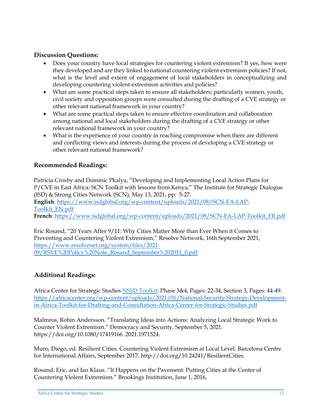#### **Discussion Questions:**

- Does your country have local strategies for countering violent extremism? If yes, how were they developed and are they linked to national countering violent extremism policies? If not, what is the level and extent of engagement of local stakeholders in conceptualizing and developing countering violent extremism activities and policies?
- What are some practical steps taken to ensure all stakeholders; particularly women, youth, civil society and opposition groups were consulted during the drafting of a CVE strategy or other relevant national framework in your country?
- What are some practical steps taken to ensure effective coordination and collaboration among national and local stakeholders during the drafting of a CVE strategy or other relevant national framework in your country?
- What is the experience of your country in reaching compromise when there are different and conflicting views and interests during the process of developing a CVE strategy or other relevant national framework?

#### **Recommended Readings:**

Patricia Crosby and Dominic Pkalya, "Developing and Implementing Local Action Plans for P/CVE in East Africa: SCN Toolkit with lessons from Kenya," The Institute for Strategic Dialogue (ISD) & Strong Cities Network (SCN), May 13, 2021, pp: 5-27. **English**: [https://www.isdglobal.org/wp-content/uploads/2021/08/SCN-EA-LAP-](https://www.isdglobal.org/wp-content/uploads/2021/08/SCN-EA-LAP-Toolkit_EN.pdf)[Toolkit\\_EN.pdf](https://www.isdglobal.org/wp-content/uploads/2021/08/SCN-EA-LAP-Toolkit_EN.pdf) **French**: [https://www.isdglobal.org/wp-content/uploads/2021/08/SCN-EA-LAP-Toolkit\\_FR.pdf](https://www.isdglobal.org/wp-content/uploads/2021/08/SCN-EA-LAP-Toolkit_FR.pdf)

Eric Rosand, "20 Years After 9/11: Why Cities Matter More than Ever When it Comes to Preventing and Countering Violent Extremism," Resolve Network, 16th September 2021, [https://www.resolvenet.org/system/files/2021-](https://www.resolvenet.org/system/files/2021-09/RSVE%20Policy%20Note_Rosand_September%202011_0.pdf) [09/RSVE%20Policy%20Note\\_Rosand\\_September%202011\\_0.pdf](https://www.resolvenet.org/system/files/2021-09/RSVE%20Policy%20Note_Rosand_September%202011_0.pdf)

#### **Additional Readings:**

Africa Center for Strategic Studies [NSSD Toolkit:](https://africacenter.org/wp-content/uploads/2021/01/National-Security-Strategy-Development-in-Africa-Toolkit-for-Drafting-and-Consultation-Africa-Center-for-Strategic-Studies.pdf) Phase 3&4, Pages: 22-34, Section 3, Pages: 44-49. [https://africacenter.org/wp-content/uploads/2021/01/National-Security-Strategy-Development](https://africacenter.org/wp-content/uploads/2021/01/National-Security-Strategy-Development-in-Africa-Toolkit-for-Drafting-and-Consultation-Africa-Center-for-Strategic-Studies.pdf)[in-Africa-Toolkit-for-Drafting-and-Consultation-Africa-Center-for-Strategic-Studies.pdf](https://africacenter.org/wp-content/uploads/2021/01/National-Security-Strategy-Development-in-Africa-Toolkit-for-Drafting-and-Consultation-Africa-Center-for-Strategic-Studies.pdf)

Malmros, Robin Andersson. "Translating Ideas into Actions: Analyzing Local Strategic Work to Counter Violent Extremism." Democracy and Security, September 5, 2021. https://doi.org/10.1080/17419166 .2021.1971524.

Muro, Diego, ed. Resilient Cities. Countering Violent Extremism at Local Level. Barcelona Centre for International Affairs, September 2017. http://doi.org/10.24241/ResilientCities.

Rosand, Eric, and Ian Klaus. "It Happens on the Pavement: Putting Cities at the Center of Countering Violent Extremism." Brookings Institution, June 1, 2016,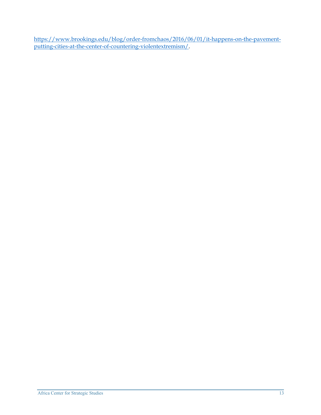[https://www.brookings.edu/blog/order-fromchaos/2016/06/01/it-happens-on-the-pavement](https://www.brookings.edu/blog/order-fromchaos/2016/06/01/it-happens-on-the-pavement-putting-cities-at-the-center-of-countering-violentextremism/)[putting-cities-at-the-center-of-countering-violentextremism/.](https://www.brookings.edu/blog/order-fromchaos/2016/06/01/it-happens-on-the-pavement-putting-cities-at-the-center-of-countering-violentextremism/)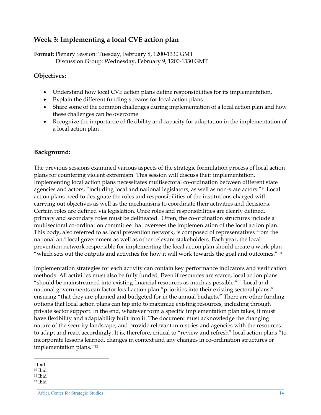## **Week 3: Implementing a local CVE action plan**

**Format:** Plenary Session: Tuesday, February 8, 1200-1330 GMT Discussion Group: Wednesday, February 9, 1200-1330 GMT

#### **Objectives:**

- Understand how local CVE action plans define responsibilities for its implementation.
- Explain the different funding streams for local action plans
- Share some of the common challenges during implementation of a local action plan and how these challenges can be overcome
- Recognize the importance of flexibility and capacity for adaptation in the implementation of a local action plan

#### **Background:**

The previous sessions examined various aspects of the strategic formulation process of local action plans for countering violent extremism. This session will discuss their implementation. Implementing local action plans necessitates multisectoral co-ordination between different state agencies and actors, "including local and national legislators, as well as non-state actors."[9](#page-13-0) Local action plans need to designate the roles and responsibilities of the institutions charged with carrying out objectives as well as the mechanisms to coordinate their activities and decisions. Certain roles are defined via legislation. Once roles and responsibilities are clearly defined, primary and secondary roles must be delineated. Often, the co-ordination structures include a multisectoral co-ordination committee that oversees the implementation of the local action plan. This body, also referred to as local prevention network, is composed of representatives from the national and local government as well as other relevant stakeholders. Each year, the local prevention network responsible for implementing the local action plan should create a work plan "which sets out the outputs and activities for how it will work towards the goal and outcomes." $10$ 

Implementation strategies for each activity can contain key performance indicators and verification methods. All activities must also be fully funded. Even if resources are scarce, local action plans "should be mainstreamed into existing financial resources as much as possible."[11](#page-13-2) Local and national governments can factor local action plan "priorities into their existing sectoral plans," ensuring "that they are planned and budgeted for in the annual budgets." There are other funding options that local action plans can tap into to maximize existing resources, including through private sector support. In the end, whatever form a specific implementation plan takes, it must have flexibility and adaptability built into it. The document must acknowledge the changing nature of the security landscape, and provide relevant ministries and agencies with the resources to adapt and react accordingly. It is, therefore, critical to "review and refresh" local action plans "to incorporate lessons learned, changes in context and any changes in co-ordination structures or implementation plans."[12](#page-13-3)

<span id="page-13-0"></span><sup>9</sup> Ibid

<span id="page-13-1"></span><sup>10</sup> Ibid

<span id="page-13-2"></span><sup>11</sup> Ibid

<span id="page-13-3"></span><sup>12</sup> Ibid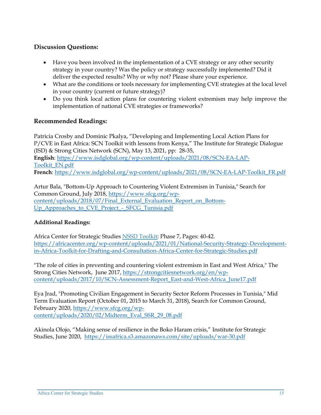#### **Discussion Questions:**

- Have you been involved in the implementation of a CVE strategy or any other security strategy in your country? Was the policy or strategy successfully implemented? Did it deliver the expected results? Why or why not? Please share your experience.
- What are the conditions or tools necessary for implementing CVE strategies at the local level in your country (current or future strategy)?
- Do you think local action plans for countering violent extremism may help improve the implementation of national CVE strategies or frameworks?

#### **Recommended Readings:**

Patricia Crosby and Dominic Pkalya, "Developing and Implementing Local Action Plans for P/CVE in East Africa: SCN Toolkit with lessons from Kenya," The Institute for Strategic Dialogue (ISD) & Strong Cities Network (SCN), May 13, 2021, pp: 28-35, **English**: [https://www.isdglobal.org/wp-content/uploads/2021/08/SCN-EA-LAP-](https://www.isdglobal.org/wp-content/uploads/2021/08/SCN-EA-LAP-Toolkit_EN.pdf)[Toolkit\\_EN.pdf](https://www.isdglobal.org/wp-content/uploads/2021/08/SCN-EA-LAP-Toolkit_EN.pdf) **French**: [https://www.isdglobal.org/wp-content/uploads/2021/08/SCN-EA-LAP-Toolkit\\_FR.pdf](https://www.isdglobal.org/wp-content/uploads/2021/08/SCN-EA-LAP-Toolkit_FR.pdf)

Artur Bala, "Bottom-Up Approach to Countering Violent Extremism in Tunisia," Search for Common Ground, July 2018, [https://www.sfcg.org/wp](https://www.sfcg.org/wp-content/uploads/2018/07/Final_External_Evaluation_Report_on_Bottom-Up_Approaches_to_CVE_Project_-_SFCG_Tunisia.pdf)[content/uploads/2018/07/Final\\_External\\_Evaluation\\_Report\\_on\\_Bottom-](https://www.sfcg.org/wp-content/uploads/2018/07/Final_External_Evaluation_Report_on_Bottom-Up_Approaches_to_CVE_Project_-_SFCG_Tunisia.pdf)[Up\\_Approaches\\_to\\_CVE\\_Project\\_-\\_SFCG\\_Tunisia.pdf](https://www.sfcg.org/wp-content/uploads/2018/07/Final_External_Evaluation_Report_on_Bottom-Up_Approaches_to_CVE_Project_-_SFCG_Tunisia.pdf)

#### **Additional Readings:**

Africa Center for Strategic Studies [NSSD Toolkit:](https://africacenter.org/wp-content/uploads/2021/01/National-Security-Strategy-Development-in-Africa-Toolkit-for-Drafting-and-Consultation-Africa-Center-for-Strategic-Studies.pdf) Phase 7, Pages: 40-42. [https://africacenter.org/wp-content/uploads/2021/01/National-Security-Strategy-Development](https://africacenter.org/wp-content/uploads/2021/01/National-Security-Strategy-Development-in-Africa-Toolkit-for-Drafting-and-Consultation-Africa-Center-for-Strategic-Studies.pdf)[in-Africa-Toolkit-for-Drafting-and-Consultation-Africa-Center-for-Strategic-Studies.pdf](https://africacenter.org/wp-content/uploads/2021/01/National-Security-Strategy-Development-in-Africa-Toolkit-for-Drafting-and-Consultation-Africa-Center-for-Strategic-Studies.pdf)

"The role of cities in preventing and countering violent extremism in East and West Africa," The Strong Cities Network, June 2017, [https://strongcitiesnetwork.org/en/wp](https://strongcitiesnetwork.org/en/wp-content/uploads/2017/10/SCN-Assessment-Report_East-and-West-Africa_June17.pdf)[content/uploads/2017/10/SCN-Assessment-Report\\_East-and-West-Africa\\_June17.pdf](https://strongcitiesnetwork.org/en/wp-content/uploads/2017/10/SCN-Assessment-Report_East-and-West-Africa_June17.pdf)

Eya Jrad, "Promoting Civilian Engagement in Security Sector Reform Processes in Tunisia," Mid Term Evaluation Report (October 01, 2015 to March 31, 2018), Search for Common Ground, February 2020, [https://www.sfcg.org/wp](https://www.sfcg.org/wp-content/uploads/2020/02/Midterm_Eval_SSR_29_08.pdf)[content/uploads/2020/02/Midterm\\_Eval\\_SSR\\_29\\_08.pdf](https://www.sfcg.org/wp-content/uploads/2020/02/Midterm_Eval_SSR_29_08.pdf)

Akinola Olojo, "Making sense of resilience in the Boko Haram crisis," Institute for Strategic Studies, June 2020, <https://issafrica.s3.amazonaws.com/site/uploads/war-30.pdf>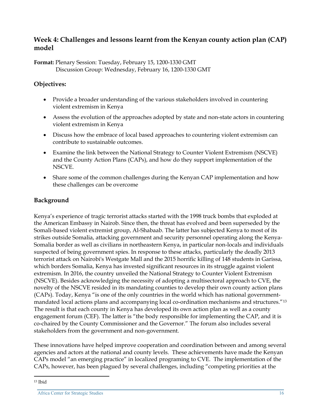#### **Week 4: Challenges and lessons learnt from the Kenyan county action plan (CAP) model**

**Format:** Plenary Session: Tuesday, February 15, 1200-1330 GMT Discussion Group: Wednesday, February 16, 1200-1330 GMT

#### **Objectives:**

- Provide a broader understanding of the various stakeholders involved in countering violent extremism in Kenya
- Assess the evolution of the approaches adopted by state and non-state actors in countering violent extremism in Kenya
- Discuss how the embrace of local based approaches to countering violent extremism can contribute to sustainable outcomes.
- Examine the link between the National Strategy to Counter Violent Extremism (NSCVE) and the County Action Plans (CAPs), and how do they support implementation of the NSCVE.
- Share some of the common challenges during the Kenyan CAP implementation and how these challenges can be overcome

#### **Background**

Kenya's experience of tragic terrorist attacks started with the 1998 truck bombs that exploded at the American Embassy in Nairob. Since then, the threat has evolved and been superseded by the Somali-based violent extremist group, Al-Shabaab. The latter has subjected Kenya to most of its strikes outside Somalia, attacking government and security personnel operating along the Kenya-Somalia border as well as civilians in northeastern Kenya, in particular non-locals and individuals suspected of being government spies. In response to these attacks, particularly the deadly 2013 terrorist attack on Nairobi's Westgate Mall and the 2015 horrific killing of 148 students in Garissa, which borders Somalia, Kenya has invested significant resources in its struggle against violent extremism. In 2016, the country unveiled the National Strategy to Counter Violent Extremism (NSCVE). Besides acknowledging the necessity of adopting a multisectoral approach to CVE, the novelty of the NSCVE resided in its mandating counties to develop their own county action plans (CAPs). Today, Kenya "is one of the only countries in the world which has national governmentmandated local actions plans and accompanying local co-ordination mechanisms and structures."[13](#page-15-0) The result is that each county in Kenya has developed its own action plan as well as a county engagement forum (CEF). The latter is "the body responsible for implementing the CAP, and it is co-chaired by the County Commissioner and the Governor." The forum also includes several stakeholders from the government and non-government.

These innovations have helped improve cooperation and coordination between and among several agencies and actors at the national and county levels. These achievements have made the Kenyan CAPs model "an emerging practice" in localized programing to CVE. The implementation of the CAPs, however, has been plagued by several challenges, including "competing priorities at the

<span id="page-15-0"></span><sup>13</sup> Ibid